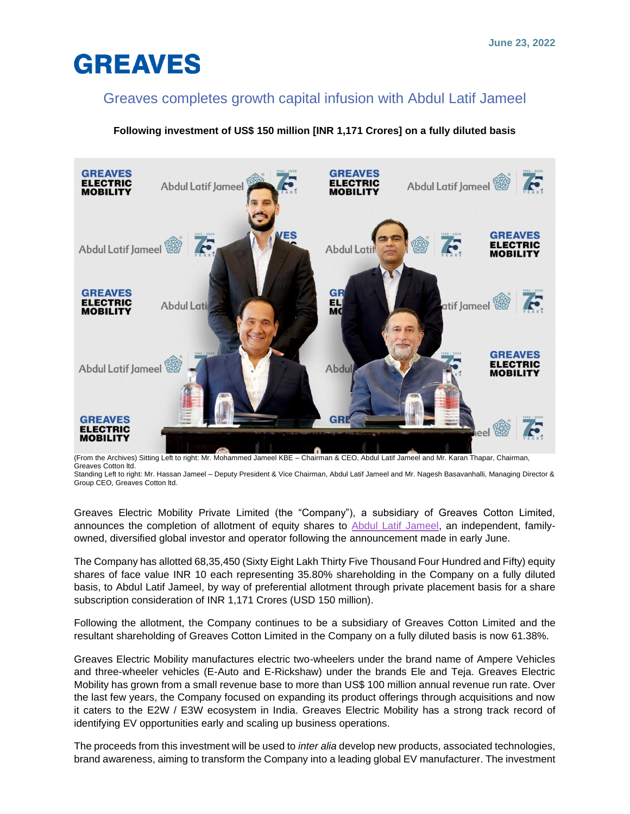# **GREAVES**

### Greaves completes growth capital infusion with Abdul Latif Jameel

### **Following investment of US\$ 150 million [INR 1,171 Crores] on a fully diluted basis**



(From the Archives) Sitting Left to right: Mr. Mohammed Jameel KBE – Chairman & CEO, Abdul Latif Jameel and Mr. Karan Thapar, Chairman, Greaves Cotton ltd.

Standing Left to right: Mr. Hassan Jameel – Deputy President & Vice Chairman, Abdul Latif Jameel and Mr. Nagesh Basavanhalli, Managing Director & Group CEO, Greaves Cotton ltd.

Greaves Electric Mobility Private Limited (the "Company"), a subsidiary of Greaves Cotton Limited, announces the completion of allotment of equity shares to [Abdul Latif Jameel,](https://alj.com/en/) an independent, familyowned, diversified global investor and operator following the announcement made in early June.

The Company has allotted 68,35,450 (Sixty Eight Lakh Thirty Five Thousand Four Hundred and Fifty) equity shares of face value INR 10 each representing 35.80% shareholding in the Company on a fully diluted basis, to Abdul Latif Jameel, by way of preferential allotment through private placement basis for a share subscription consideration of INR 1,171 Crores (USD 150 million).

Following the allotment, the Company continues to be a subsidiary of Greaves Cotton Limited and the resultant shareholding of Greaves Cotton Limited in the Company on a fully diluted basis is now 61.38%.

Greaves Electric Mobility manufactures electric two-wheelers under the brand name of Ampere Vehicles and three-wheeler vehicles (E-Auto and E-Rickshaw) under the brands Ele and Teja. Greaves Electric Mobility has grown from a small revenue base to more than US\$ 100 million annual revenue run rate. Over the last few years, the Company focused on expanding its product offerings through acquisitions and now it caters to the E2W / E3W ecosystem in India. Greaves Electric Mobility has a strong track record of identifying EV opportunities early and scaling up business operations.

The proceeds from this investment will be used to *inter alia* develop new products, associated technologies, brand awareness, aiming to transform the Company into a leading global EV manufacturer. The investment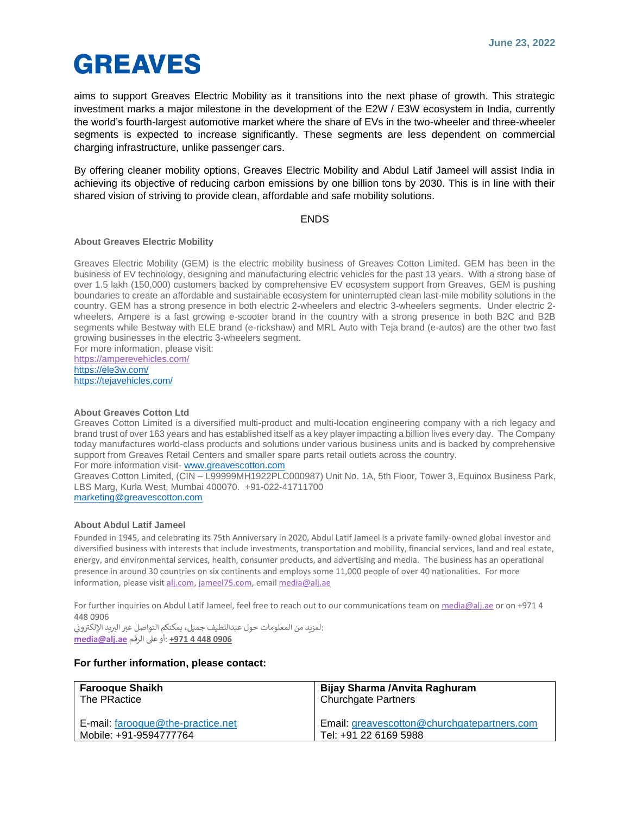# **GREAVES**

aims to support Greaves Electric Mobility as it transitions into the next phase of growth. This strategic investment marks a major milestone in the development of the E2W / E3W ecosystem in India, currently the world's fourth-largest automotive market where the share of EVs in the two-wheeler and three-wheeler segments is expected to increase significantly. These segments are less dependent on commercial charging infrastructure, unlike passenger cars.

By offering cleaner mobility options, Greaves Electric Mobility and Abdul Latif Jameel will assist India in achieving its objective of reducing carbon emissions by one billion tons by 2030. This is in line with their shared vision of striving to provide clean, affordable and safe mobility solutions.

#### ENDS

#### **About Greaves Electric Mobility**

Greaves Electric Mobility (GEM) is the electric mobility business of Greaves Cotton Limited. GEM has been in the business of EV technology, designing and manufacturing electric vehicles for the past 13 years. With a strong base of over 1.5 lakh (150,000) customers backed by comprehensive EV ecosystem support from Greaves, GEM is pushing boundaries to create an affordable and sustainable ecosystem for uninterrupted clean last-mile mobility solutions in the country. GEM has a strong presence in both electric 2-wheelers and electric 3-wheelers segments. Under electric 2 wheelers, Ampere is a fast growing e-scooter brand in the country with a strong presence in both B2C and B2B segments while Bestway with ELE brand (e-rickshaw) and MRL Auto with Teja brand (e-autos) are the other two fast growing businesses in the electric 3-wheelers segment. For more information, please visit:

<https://amperevehicles.com/> <https://ele3w.com/> <https://tejavehicles.com/>

#### **About Greaves Cotton Ltd**

Greaves Cotton Limited is a diversified multi-product and multi-location engineering company with a rich legacy and brand trust of over 163 years and has established itself as a key player impacting a billion lives every day. The Company today manufactures world-class products and solutions under various business units and is backed by comprehensive support from Greaves Retail Centers and smaller spare parts retail outlets across the country. For more information visit- [www.greavescotton.com](http://www.greavescotton.com/)

Greaves Cotton Limited, (CIN – L99999MH1922PLC000987) Unit No. 1A, 5th Floor, Tower 3, Equinox Business Park, LBS Marg, Kurla West, Mumbai 400070. +91-022-41711700

[marketing@greavescotton.com](mailto:marketing@greavescotton.com)

#### **About Abdul Latif Jameel**

Founded in 1945, and celebrating its 75th Anniversary in 2020, Abdul Latif Jameel is a private family-owned global investor and diversified business with interests that include investments, transportation and mobility, financial services, land and real estate, energy, and environmental services, health, consumer products, and advertising and media. The business has an operational presence in around 30 countries on six continents and employs some 11,000 people of over 40 nationalities. For more information, please visit [alj.com,](https://alj.com/) [jameel75.com,](https://jameel75.com/) emai[l media@alj.ae](mailto:media@alj.ae)

For further inquiries on Abdul Latif Jameel, feel free to reach out to our communications team o[n media@alj.ae](mailto:media@alj.ae) or on +971 4 448 0906

:لمزيد من المعلومات حول عبداللطيف جميل، يمكنكم التواصل عبر البريد الإلكتروني į **0906 448 4 +971** :أو عىل الرقم **[ae.alj@media](mailto:media@alj.ae)**

#### **For further information, please contact:**

| <b>Farooque Shaikh</b>            | Bijay Sharma / Anvita Raghuram              |
|-----------------------------------|---------------------------------------------|
| The PRactice                      | <b>Churchgate Partners</b>                  |
| E-mail: farooque@the-practice.net | Email: greavescotton@churchgatepartners.com |
| Mobile: +91-9594777764            | Tel: +91 22 6169 5988                       |